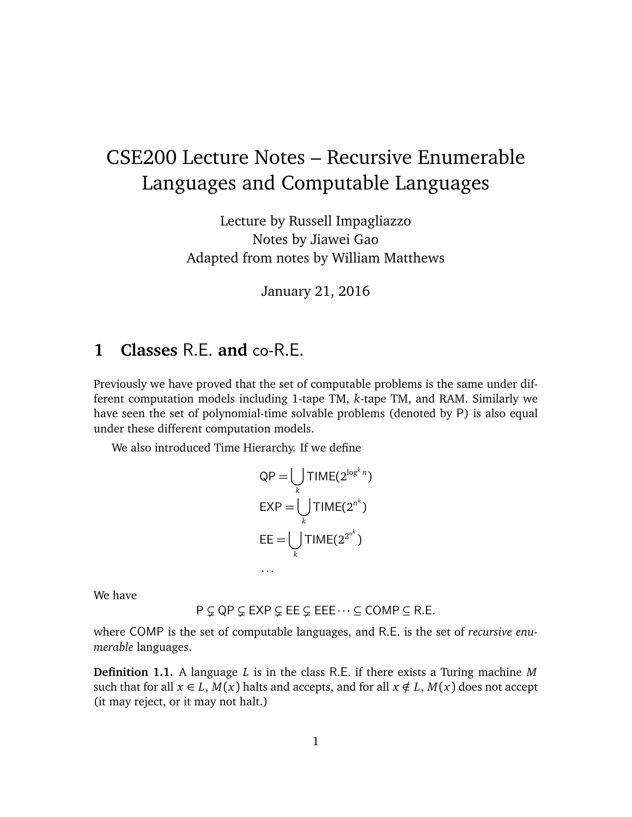# CSE200 Lecture Notes – Recursive Enumerable Languages and Computable Languages

Lecture by Russell Impagliazzo Notes by Jiawei Gao Adapted from notes by William Matthews

January 21, 2016

# **1 Classes** R.E. **and** co-R.E.

Previously we have proved that the set of computable problems is the same under different computation models including 1-tape TM, *k*-tape TM, and RAM. Similarly we have seen the set of polynomial-time solvable problems (denoted by P) is also equal under these different computation models.

We also introduced Time Hierarchy. If we define

. . .

$$
QP = \bigcup_{k} TIME(2^{\log^k n})
$$

$$
EXP = \bigcup_{k} TIME(2^{n^k})
$$

$$
EE = \bigcup_{k} TIME(2^{2^{n^k}})
$$

We have

 $P \subsetneq QP \subsetneq EXP \subsetneq EE \subsetneq EEE \cdots \subseteq COMP \subseteq R.E.$ 

where COMP is the set of computable languages, and R.E. is the set of *recursive enumerable* languages.

**Definition 1.1.** A language *L* is in the class R.E. if there exists a Turing machine *M* such that for all  $x \in L$ ,  $M(x)$  halts and accepts, and for all  $x \notin L$ ,  $M(x)$  does not accept (it may reject, or it may not halt.)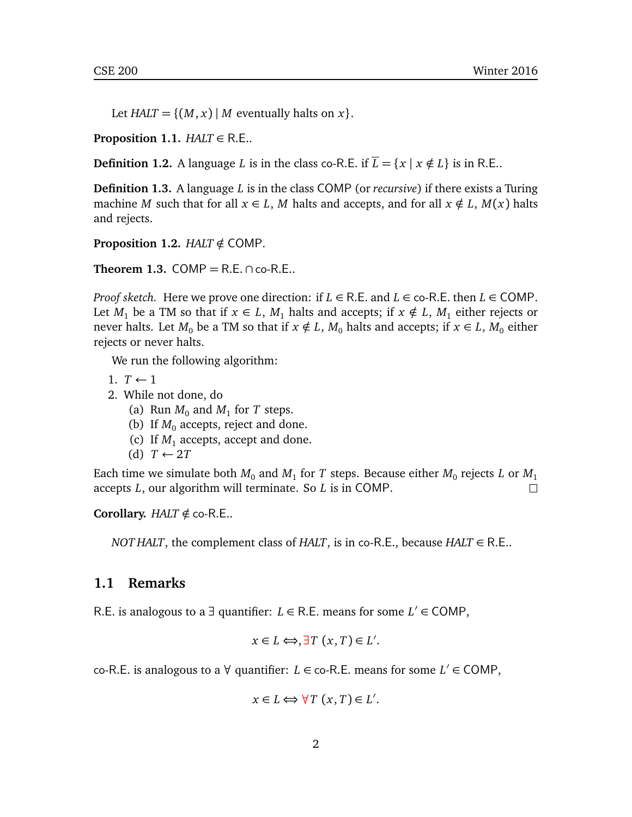Let *HALT* = { $(M, x)$  | *M* eventually halts on *x* }.

**Proposition 1.1.**  $HALT \in R.E.$ .

**Definition 1.2.** A language *L* is in the class co-R.E. if  $\overline{L} = \{x \mid x \notin L\}$  is in R.E..

**Definition 1.3.** A language *L* is in the class COMP (or *recursive*) if there exists a Turing machine *M* such that for all  $x \in L$ , *M* halts and accepts, and for all  $x \notin L$ ,  $M(x)$  halts and rejects.

**Proposition 1.2.** *HALT*  $\notin$  COMP.

**Theorem 1.3.** COMP =  $R.E. \cap co-R.E.$ 

*Proof sketch.* Here we prove one direction: if  $L \in R.E$ . and  $L \in \text{co-R.E.}$  then  $L \in \text{COMP.}$ Let *M*<sub>1</sub> be a TM so that if  $x \in L$ , *M*<sub>1</sub> halts and accepts; if  $x \notin L$ , *M*<sub>1</sub> either rejects or never halts. Let  $M_0$  be a TM so that if  $x \notin L$ ,  $M_0$  halts and accepts; if  $x \in L$ ,  $M_0$  either rejects or never halts.

We run the following algorithm:

- 1.  $T \leftarrow 1$
- 2. While not done, do
	- (a) Run  $M_0$  and  $M_1$  for *T* steps.
	- (b) If  $M_0$  accepts, reject and done.
	- (c) If  $M_1$  accepts, accept and done.
	- (d) *T* ← 2*T*

Each time we simulate both  $M_0$  and  $M_1$  for  $T$  steps. Because either  $M_0$  rejects  $L$  or  $M_1$ accepts *L*, our algorithm will terminate. So *L* is in COMP. П

**Corollary.** *HALT*  $\notin$  co-R.E..

*NOT HALT*, the complement class of *HALT*, is in co-R.E., because *HALT*  $\in$  R.E..

### **1.1 Remarks**

R.E. is analogous to a  $\exists$  quantifier:  $L \in R$ .E. means for some  $L' \in \text{COMP}$ ,

$$
x \in L \Longleftrightarrow, \exists T \ (x, T) \in L'.
$$

co-R.E. is analogous to a  $\forall$  quantifier: *L* ∈ co-R.E. means for some *L'* ∈ COMP,

$$
x \in L \Longleftrightarrow \forall T \ (x, T) \in L'.
$$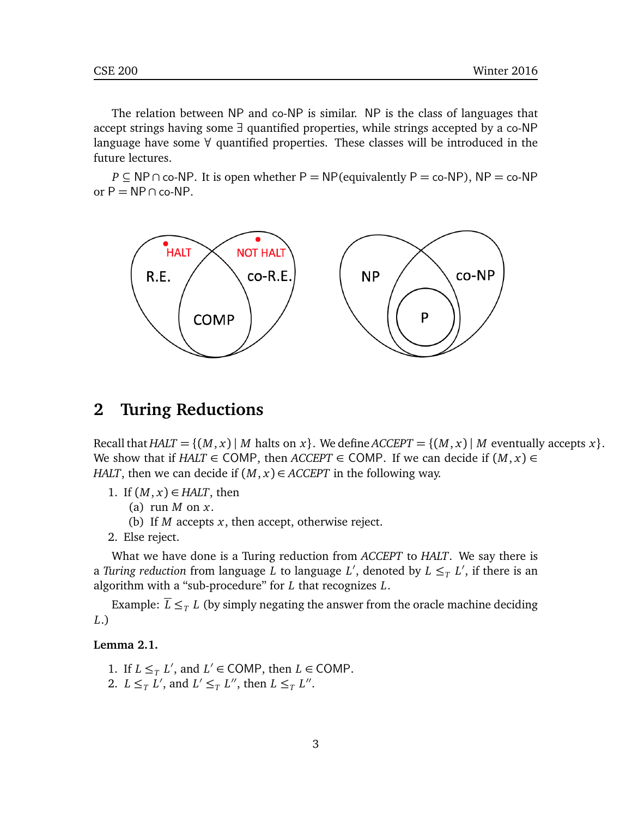The relation between NP and co-NP is similar. NP is the class of languages that accept strings having some ∃ quantified properties, while strings accepted by a co-NP language have some  $\forall$  quantified properties. These classes will be introduced in the future lectures.

*P* ⊆ NP ∩ co-NP. It is open whether P = NP(equivalently P = co-NP), NP = co-NP or  $P = NP \cap co-NP$ .



### **2 Turing Reductions**

Recall that  $HALT = \{(M, x) | M \text{ halts on } x\}$ . We define  $ACCEPT = \{(M, x) | M \text{ eventually accepts } x\}$ . We show that if *HALT*  $\in$  COMP, then *ACCEPT*  $\in$  COMP. If we can decide if  $(M, x) \in$ *HALT*, then we can decide if  $(M, x) \in ACCEPT$  in the following way.

- 1. If  $(M, x) \in HALT$ , then
	- (a) run *M* on *x*.
	- (b) If *M* accepts *x*, then accept, otherwise reject.
- 2. Else reject.

What we have done is a Turing reduction from *ACCEPT* to *HALT*. We say there is a *Turing reduction from language*  $L$  *to language*  $L'$ *, denoted by*  $L \leq_T L'$ *, if there is an* algorithm with a "sub-procedure" for *L* that recognizes *L*.

Example:  $\overline{L} \leq_T L$  (by simply negating the answer from the oracle machine deciding *L*.)

#### **Lemma 2.1.**

1. If  $L \leq_T L'$ , and  $L' \in \text{COMP}$ , then  $L \in \text{COMP}$ . 2.  $L \leq_T L'$ , and  $L' \leq_T L''$ , then  $L \leq_T L''$ .